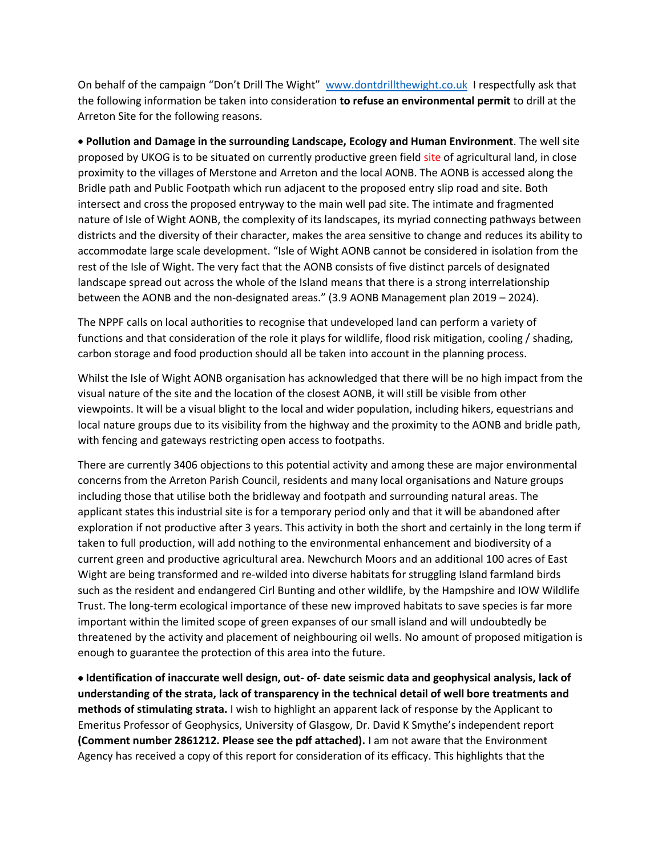On behalf of the campaign "Don't Drill The Wight" [www.dontdrillthewight.co.uk](http://www.dontdrillthewight.co.uk/) I respectfully ask that the following information be taken into consideration **to refuse an environmental permit** to drill at the Arreton Site for the following reasons.

 **Pollution and Damage in the surrounding Landscape, Ecology and Human Environment**. The well site proposed by UKOG is to be situated on currently productive green field site of agricultural land, in close proximity to the villages of Merstone and Arreton and the local AONB. The AONB is accessed along the Bridle path and Public Footpath which run adjacent to the proposed entry slip road and site. Both intersect and cross the proposed entryway to the main well pad site. The intimate and fragmented nature of Isle of Wight AONB, the complexity of its landscapes, its myriad connecting pathways between districts and the diversity of their character, makes the area sensitive to change and reduces its ability to accommodate large scale development. "Isle of Wight AONB cannot be considered in isolation from the rest of the Isle of Wight. The very fact that the AONB consists of five distinct parcels of designated landscape spread out across the whole of the Island means that there is a strong interrelationship between the AONB and the non-designated areas." (3.9 AONB Management plan 2019 – 2024).

The NPPF calls on local authorities to recognise that undeveloped land can perform a variety of functions and that consideration of the role it plays for wildlife, flood risk mitigation, cooling / shading, carbon storage and food production should all be taken into account in the planning process.

Whilst the Isle of Wight AONB organisation has acknowledged that there will be no high impact from the visual nature of the site and the location of the closest AONB, it will still be visible from other viewpoints. It will be a visual blight to the local and wider population, including hikers, equestrians and local nature groups due to its visibility from the highway and the proximity to the AONB and bridle path, with fencing and gateways restricting open access to footpaths.

There are currently 3406 objections to this potential activity and among these are major environmental concerns from the Arreton Parish Council, residents and many local organisations and Nature groups including those that utilise both the bridleway and footpath and surrounding natural areas. The applicant states this industrial site is for a temporary period only and that it will be abandoned after exploration if not productive after 3 years. This activity in both the short and certainly in the long term if taken to full production, will add nothing to the environmental enhancement and biodiversity of a current green and productive agricultural area. Newchurch Moors and an additional 100 acres of East Wight are being transformed and re-wilded into diverse habitats for struggling Island farmland birds such as the resident and endangered Cirl Bunting and other wildlife, by the Hampshire and IOW Wildlife Trust. The long-term ecological importance of these new improved habitats to save species is far more important within the limited scope of green expanses of our small island and will undoubtedly be threatened by the activity and placement of neighbouring oil wells. No amount of proposed mitigation is enough to guarantee the protection of this area into the future.

 **Identification of inaccurate well design, out- of- date seismic data and geophysical analysis, lack of understanding of the strata, lack of transparency in the technical detail of well bore treatments and methods of stimulating strata.** I wish to highlight an apparent lack of response by the Applicant to Emeritus Professor of Geophysics, University of Glasgow, Dr. David K Smythe's independent report **(Comment number 2861212. Please see the pdf attached).** I am not aware that the Environment Agency has received a copy of this report for consideration of its efficacy. This highlights that the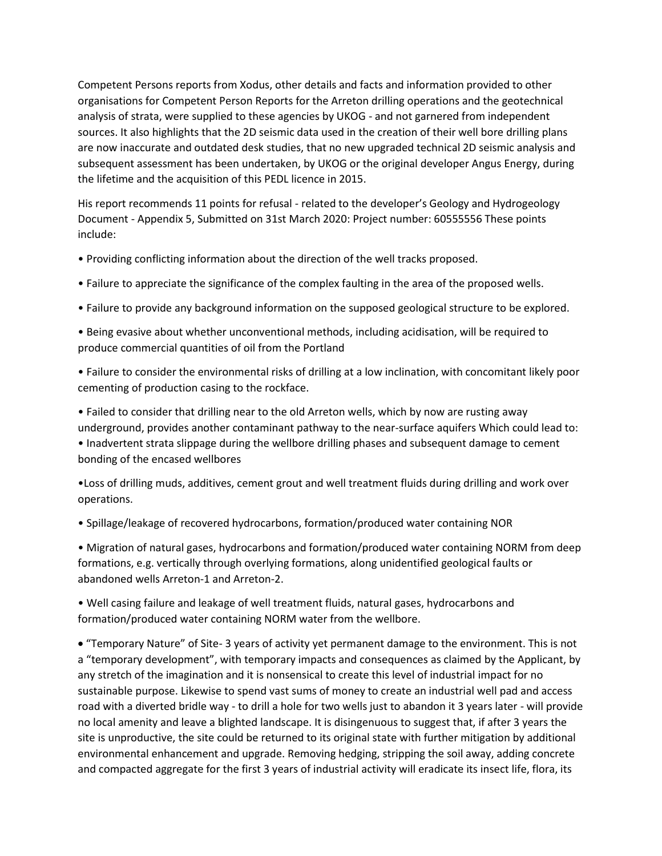Competent Persons reports from Xodus, other details and facts and information provided to other organisations for Competent Person Reports for the Arreton drilling operations and the geotechnical analysis of strata, were supplied to these agencies by UKOG - and not garnered from independent sources. It also highlights that the 2D seismic data used in the creation of their well bore drilling plans are now inaccurate and outdated desk studies, that no new upgraded technical 2D seismic analysis and subsequent assessment has been undertaken, by UKOG or the original developer Angus Energy, during the lifetime and the acquisition of this PEDL licence in 2015.

His report recommends 11 points for refusal - related to the developer's Geology and Hydrogeology Document - Appendix 5, Submitted on 31st March 2020: Project number: 60555556 These points include:

- Providing conflicting information about the direction of the well tracks proposed.
- Failure to appreciate the significance of the complex faulting in the area of the proposed wells.
- Failure to provide any background information on the supposed geological structure to be explored.
- Being evasive about whether unconventional methods, including acidisation, will be required to produce commercial quantities of oil from the Portland
- Failure to consider the environmental risks of drilling at a low inclination, with concomitant likely poor cementing of production casing to the rockface.

• Failed to consider that drilling near to the old Arreton wells, which by now are rusting away underground, provides another contaminant pathway to the near-surface aquifers Which could lead to: • Inadvertent strata slippage during the wellbore drilling phases and subsequent damage to cement bonding of the encased wellbores

•Loss of drilling muds, additives, cement grout and well treatment fluids during drilling and work over operations.

• Spillage/leakage of recovered hydrocarbons, formation/produced water containing NOR

• Migration of natural gases, hydrocarbons and formation/produced water containing NORM from deep formations, e.g. vertically through overlying formations, along unidentified geological faults or abandoned wells Arreton-1 and Arreton-2.

• Well casing failure and leakage of well treatment fluids, natural gases, hydrocarbons and formation/produced water containing NORM water from the wellbore.

 "Temporary Nature" of Site- 3 years of activity yet permanent damage to the environment. This is not a "temporary development", with temporary impacts and consequences as claimed by the Applicant, by any stretch of the imagination and it is nonsensical to create this level of industrial impact for no sustainable purpose. Likewise to spend vast sums of money to create an industrial well pad and access road with a diverted bridle way - to drill a hole for two wells just to abandon it 3 years later - will provide no local amenity and leave a blighted landscape. It is disingenuous to suggest that, if after 3 years the site is unproductive, the site could be returned to its original state with further mitigation by additional environmental enhancement and upgrade. Removing hedging, stripping the soil away, adding concrete and compacted aggregate for the first 3 years of industrial activity will eradicate its insect life, flora, its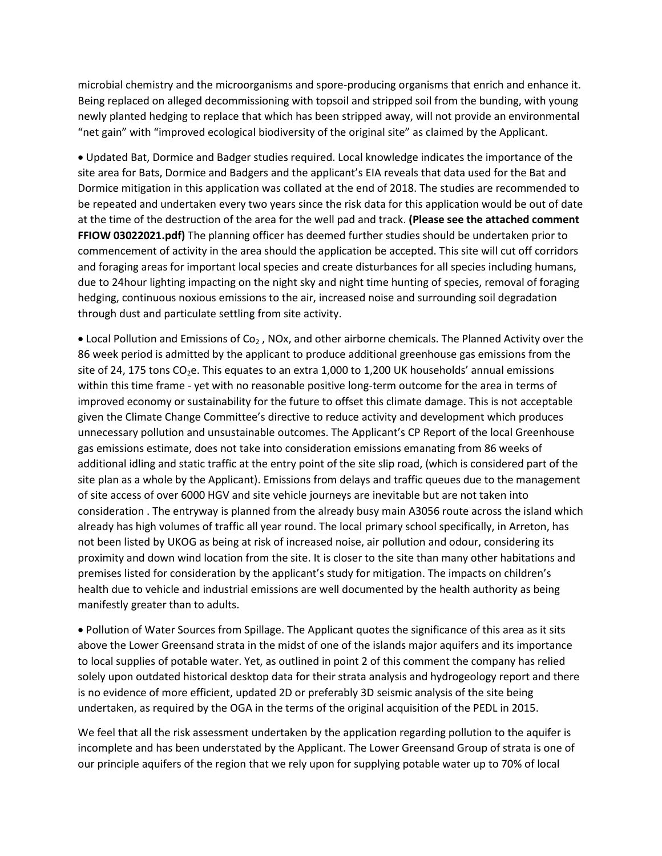microbial chemistry and the microorganisms and spore-producing organisms that enrich and enhance it. Being replaced on alleged decommissioning with topsoil and stripped soil from the bunding, with young newly planted hedging to replace that which has been stripped away, will not provide an environmental "net gain" with "improved ecological biodiversity of the original site" as claimed by the Applicant.

 Updated Bat, Dormice and Badger studies required. Local knowledge indicates the importance of the site area for Bats, Dormice and Badgers and the applicant's EIA reveals that data used for the Bat and Dormice mitigation in this application was collated at the end of 2018. The studies are recommended to be repeated and undertaken every two years since the risk data for this application would be out of date at the time of the destruction of the area for the well pad and track. **(Please see the attached comment FFIOW 03022021.pdf)** The planning officer has deemed further studies should be undertaken prior to commencement of activity in the area should the application be accepted. This site will cut off corridors and foraging areas for important local species and create disturbances for all species including humans, due to 24hour lighting impacting on the night sky and night time hunting of species, removal of foraging hedging, continuous noxious emissions to the air, increased noise and surrounding soil degradation through dust and particulate settling from site activity.

• Local Pollution and Emissions of Co<sub>2</sub>, NOx, and other airborne chemicals. The Planned Activity over the 86 week period is admitted by the applicant to produce additional greenhouse gas emissions from the site of 24, 175 tons  $CO<sub>2</sub>e$ . This equates to an extra 1,000 to 1,200 UK households' annual emissions within this time frame - yet with no reasonable positive long-term outcome for the area in terms of improved economy or sustainability for the future to offset this climate damage. This is not acceptable given the Climate Change Committee's directive to reduce activity and development which produces unnecessary pollution and unsustainable outcomes. The Applicant's CP Report of the local Greenhouse gas emissions estimate, does not take into consideration emissions emanating from 86 weeks of additional idling and static traffic at the entry point of the site slip road, (which is considered part of the site plan as a whole by the Applicant). Emissions from delays and traffic queues due to the management of site access of over 6000 HGV and site vehicle journeys are inevitable but are not taken into consideration . The entryway is planned from the already busy main A3056 route across the island which already has high volumes of traffic all year round. The local primary school specifically, in Arreton, has not been listed by UKOG as being at risk of increased noise, air pollution and odour, considering its proximity and down wind location from the site. It is closer to the site than many other habitations and premises listed for consideration by the applicant's study for mitigation. The impacts on children's health due to vehicle and industrial emissions are well documented by the health authority as being manifestly greater than to adults.

 Pollution of Water Sources from Spillage. The Applicant quotes the significance of this area as it sits above the Lower Greensand strata in the midst of one of the islands major aquifers and its importance to local supplies of potable water. Yet, as outlined in point 2 of this comment the company has relied solely upon outdated historical desktop data for their strata analysis and hydrogeology report and there is no evidence of more efficient, updated 2D or preferably 3D seismic analysis of the site being undertaken, as required by the OGA in the terms of the original acquisition of the PEDL in 2015.

We feel that all the risk assessment undertaken by the application regarding pollution to the aquifer is incomplete and has been understated by the Applicant. The Lower Greensand Group of strata is one of our principle aquifers of the region that we rely upon for supplying potable water up to 70% of local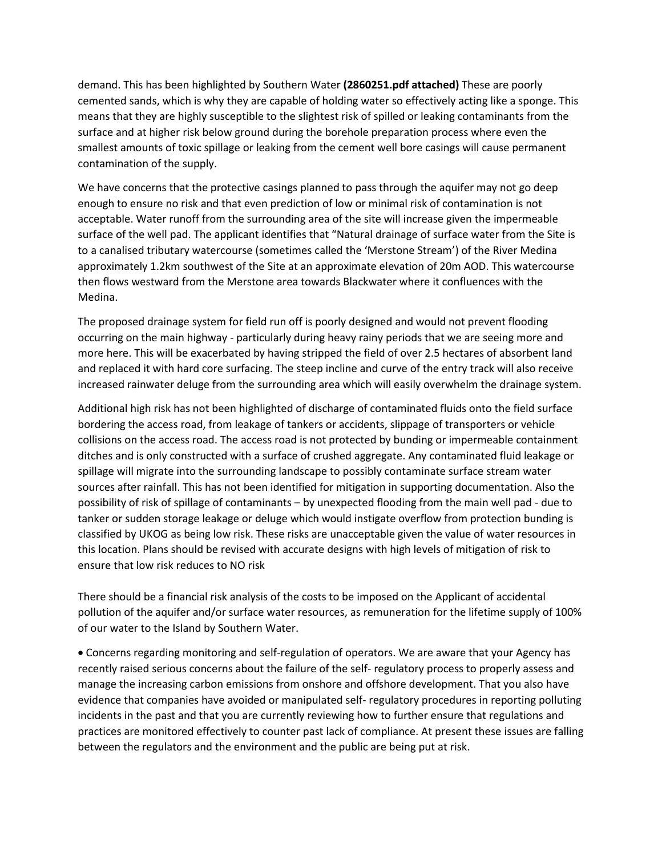demand. This has been highlighted by Southern Water **(2860251.pdf attached)** These are poorly cemented sands, which is why they are capable of holding water so effectively acting like a sponge. This means that they are highly susceptible to the slightest risk of spilled or leaking contaminants from the surface and at higher risk below ground during the borehole preparation process where even the smallest amounts of toxic spillage or leaking from the cement well bore casings will cause permanent contamination of the supply.

We have concerns that the protective casings planned to pass through the aquifer may not go deep enough to ensure no risk and that even prediction of low or minimal risk of contamination is not acceptable. Water runoff from the surrounding area of the site will increase given the impermeable surface of the well pad. The applicant identifies that "Natural drainage of surface water from the Site is to a canalised tributary watercourse (sometimes called the 'Merstone Stream') of the River Medina approximately 1.2km southwest of the Site at an approximate elevation of 20m AOD. This watercourse then flows westward from the Merstone area towards Blackwater where it confluences with the Medina.

The proposed drainage system for field run off is poorly designed and would not prevent flooding occurring on the main highway - particularly during heavy rainy periods that we are seeing more and more here. This will be exacerbated by having stripped the field of over 2.5 hectares of absorbent land and replaced it with hard core surfacing. The steep incline and curve of the entry track will also receive increased rainwater deluge from the surrounding area which will easily overwhelm the drainage system.

Additional high risk has not been highlighted of discharge of contaminated fluids onto the field surface bordering the access road, from leakage of tankers or accidents, slippage of transporters or vehicle collisions on the access road. The access road is not protected by bunding or impermeable containment ditches and is only constructed with a surface of crushed aggregate. Any contaminated fluid leakage or spillage will migrate into the surrounding landscape to possibly contaminate surface stream water sources after rainfall. This has not been identified for mitigation in supporting documentation. Also the possibility of risk of spillage of contaminants – by unexpected flooding from the main well pad - due to tanker or sudden storage leakage or deluge which would instigate overflow from protection bunding is classified by UKOG as being low risk. These risks are unacceptable given the value of water resources in this location. Plans should be revised with accurate designs with high levels of mitigation of risk to ensure that low risk reduces to NO risk

There should be a financial risk analysis of the costs to be imposed on the Applicant of accidental pollution of the aquifer and/or surface water resources, as remuneration for the lifetime supply of 100% of our water to the Island by Southern Water.

 Concerns regarding monitoring and self-regulation of operators. We are aware that your Agency has recently raised serious concerns about the failure of the self- regulatory process to properly assess and manage the increasing carbon emissions from onshore and offshore development. That you also have evidence that companies have avoided or manipulated self- regulatory procedures in reporting polluting incidents in the past and that you are currently reviewing how to further ensure that regulations and practices are monitored effectively to counter past lack of compliance. At present these issues are falling between the regulators and the environment and the public are being put at risk.